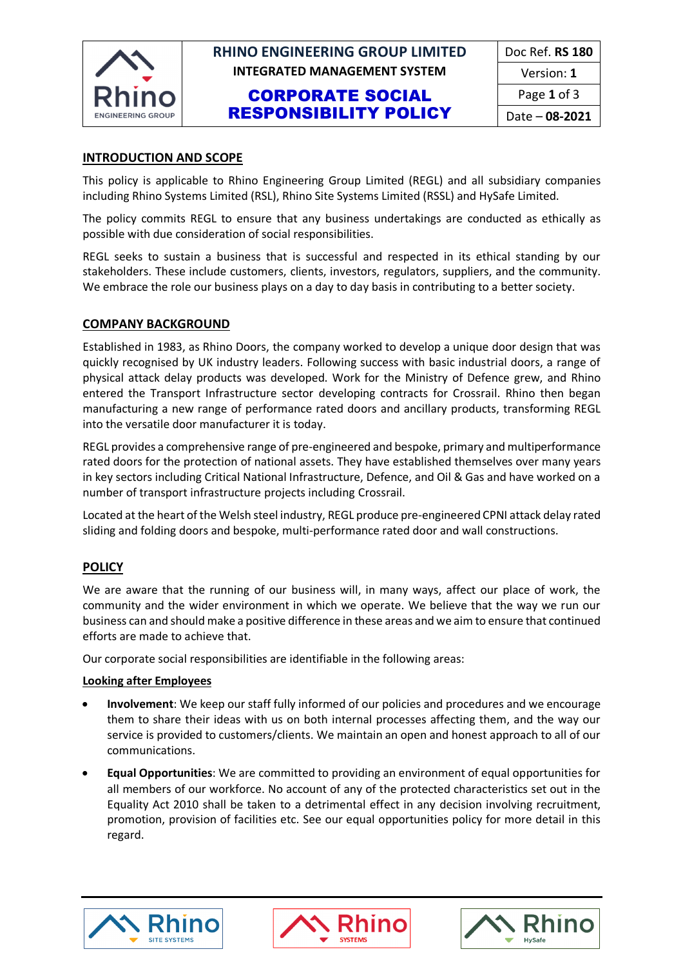

# **RHINO ENGINEERING GROUP LIMITED | Doc Ref. RS 180 INTEGRATED MANAGEMENT SYSTEM** Version: 1

## CORPORATE SOCIAL RESPONSIBILITY POLICY

### **INTRODUCTION AND SCOPE**

This policy is applicable to Rhino Engineering Group Limited (REGL) and all subsidiary companies including Rhino Systems Limited (RSL), Rhino Site Systems Limited (RSSL) and HySafe Limited.

The policy commits REGL to ensure that any business undertakings are conducted as ethically as possible with due consideration of social responsibilities.

REGL seeks to sustain a business that is successful and respected in its ethical standing by our stakeholders. These include customers, clients, investors, regulators, suppliers, and the community. We embrace the role our business plays on a day to day basis in contributing to a better society.

#### **COMPANY BACKGROUND**

Established in 1983, as Rhino Doors, the company worked to develop a unique door design that was quickly recognised by UK industry leaders. Following success with basic industrial doors, a range of physical attack delay products was developed. Work for the Ministry of Defence grew, and Rhino entered the Transport Infrastructure sector developing contracts for Crossrail. Rhino then began manufacturing a new range of performance rated doors and ancillary products, transforming REGL into the versatile door manufacturer it is today.

REGL provides a comprehensive range of pre-engineered and bespoke, primary and multiperformance rated doors for the protection of national assets. They have established themselves over many years in key sectors including Critical National Infrastructure, Defence, and Oil & Gas and have worked on a number of transport infrastructure projects including Crossrail.

Located at the heart of the Welsh steel industry, REGL produce pre-engineered CPNI attack delay rated sliding and folding doors and bespoke, multi-performance rated door and wall constructions.

### **POLICY**

We are aware that the running of our business will, in many ways, affect our place of work, the community and the wider environment in which we operate. We believe that the way we run our business can and should make a positive difference in these areas and we aim to ensure that continued efforts are made to achieve that.

Our corporate social responsibilities are identifiable in the following areas:

#### **Looking after Employees**

- **Involvement**: We keep our staff fully informed of our policies and procedures and we encourage them to share their ideas with us on both internal processes affecting them, and the way our service is provided to customers/clients. We maintain an open and honest approach to all of our communications.
- **Equal Opportunities**: We are committed to providing an environment of equal opportunities for all members of our workforce. No account of any of the protected characteristics set out in the Equality Act 2010 shall be taken to a detrimental effect in any decision involving recruitment, promotion, provision of facilities etc. See our equal opportunities policy for more detail in this regard.





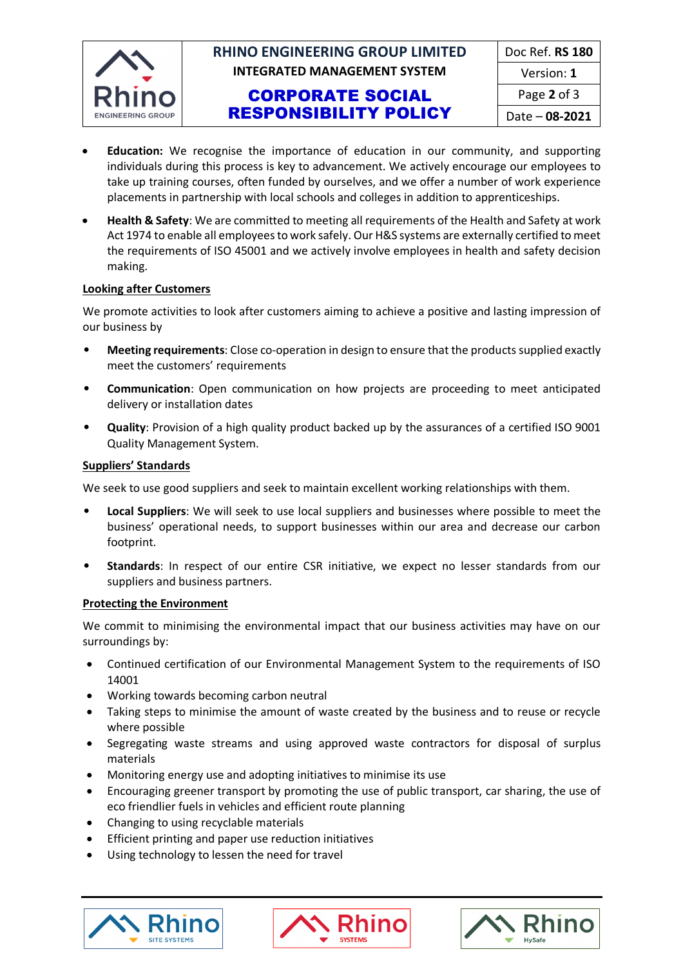

# **RHINO ENGINEERING GROUP LIMITED INTEGRATED MANAGEMENT SYSTEM**

## CORPORATE SOCIAL RESPONSIBILITY POLICY

| Doc Ref. RS 180       |
|-----------------------|
| Version: 1            |
| Page 2 of 3           |
| Date - <b>08-2021</b> |

- **Education:** We recognise the importance of education in our community, and supporting individuals during this process is key to advancement. We actively encourage our employees to take up training courses, often funded by ourselves, and we offer a number of work experience placements in partnership with local schools and colleges in addition to apprenticeships.
- **Health & Safety**: We are committed to meeting all requirements of the Health and Safety at work Act 1974 to enable all employees to work safely. Our H&S systems are externally certified to meet the requirements of ISO 45001 and we actively involve employees in health and safety decision making.

### **Looking after Customers**

We promote activities to look after customers aiming to achieve a positive and lasting impression of our business by

- **Meeting requirements**: Close co-operation in design to ensure that the products supplied exactly meet the customers' requirements
- **Communication**: Open communication on how projects are proceeding to meet anticipated delivery or installation dates
- **Quality**: Provision of a high quality product backed up by the assurances of a certified ISO 9001 Quality Management System.

### **Suppliers' Standards**

We seek to use good suppliers and seek to maintain excellent working relationships with them.

- **Local Suppliers**: We will seek to use local suppliers and businesses where possible to meet the business' operational needs, to support businesses within our area and decrease our carbon footprint.
- **Standards**: In respect of our entire CSR initiative, we expect no lesser standards from our suppliers and business partners.

### **Protecting the Environment**

We commit to minimising the environmental impact that our business activities may have on our surroundings by:

- Continued certification of our Environmental Management System to the requirements of ISO 14001
- Working towards becoming carbon neutral
- Taking steps to minimise the amount of waste created by the business and to reuse or recycle where possible
- Segregating waste streams and using approved waste contractors for disposal of surplus materials
- Monitoring energy use and adopting initiatives to minimise its use
- Encouraging greener transport by promoting the use of public transport, car sharing, the use of eco friendlier fuels in vehicles and efficient route planning
- Changing to using recyclable materials
- Efficient printing and paper use reduction initiatives
- Using technology to lessen the need for travel